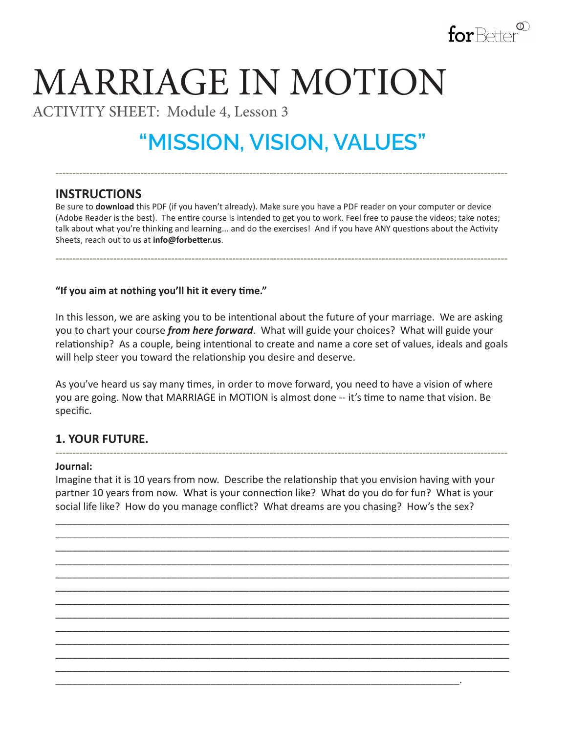

# MARRIAGE IN MOTION

ACTIVITY SHEET: Module 4, Lesson 3

# **"MISSION, VISION, VALUES"**

**-------------------------------------------------------------------------------------------------------------------------------------**

## **INSTRUCTIONS**

Be sure to **download** this PDF (if you haven't already). Make sure you have a PDF reader on your computer or device (Adobe Reader is the best). The entire course is intended to get you to work. Feel free to pause the videos; take notes; talk about what you're thinking and learning... and do the exercises! And if you have ANY questions about the Activity Sheets, reach out to us at **info@forbetter.us**.

**-------------------------------------------------------------------------------------------------------------------------------------**

**"If you aim at nothing you'll hit it every time."**

In this lesson, we are asking you to be intentional about the future of your marriage. We are asking you to chart your course *from here forward*. What will guide your choices? What will guide your relationship? As a couple, being intentional to create and name a core set of values, ideals and goals will help steer you toward the relationship you desire and deserve.

As you've heard us say many times, in order to move forward, you need to have a vision of where you are going. Now that MARRIAGE in MOTION is almost done -- it's time to name that vision. Be specific.

## **1. YOUR FUTURE.**

#### **------------------------------------------------------------------------------------------------------------------------------------- Journal:**

Imagine that it is 10 years from now. Describe the relationship that you envision having with your partner 10 years from now. What is your connection like? What do you do for fun? What is your social life like? How do you manage conflict? What dreams are you chasing? How's the sex?

\_\_\_\_\_\_\_\_\_\_\_\_\_\_\_\_\_\_\_\_\_\_\_\_\_\_\_\_\_\_\_\_\_\_\_\_\_\_\_\_\_\_\_\_\_\_\_\_\_\_\_\_\_\_\_\_\_\_\_\_\_\_\_\_\_\_\_\_\_\_\_\_\_.

\_\_\_\_\_\_\_\_\_\_\_\_\_\_\_\_\_\_\_\_\_\_\_\_\_\_\_\_\_\_\_\_\_\_\_\_\_\_\_\_\_\_\_\_\_\_\_\_\_\_\_\_\_\_\_\_\_\_\_\_\_\_\_\_\_\_\_\_\_\_\_\_\_\_\_\_\_\_\_\_\_\_ \_\_\_\_\_\_\_\_\_\_\_\_\_\_\_\_\_\_\_\_\_\_\_\_\_\_\_\_\_\_\_\_\_\_\_\_\_\_\_\_\_\_\_\_\_\_\_\_\_\_\_\_\_\_\_\_\_\_\_\_\_\_\_\_\_\_\_\_\_\_\_\_\_\_\_\_\_\_\_\_\_\_ \_\_\_\_\_\_\_\_\_\_\_\_\_\_\_\_\_\_\_\_\_\_\_\_\_\_\_\_\_\_\_\_\_\_\_\_\_\_\_\_\_\_\_\_\_\_\_\_\_\_\_\_\_\_\_\_\_\_\_\_\_\_\_\_\_\_\_\_\_\_\_\_\_\_\_\_\_\_\_\_\_\_ \_\_\_\_\_\_\_\_\_\_\_\_\_\_\_\_\_\_\_\_\_\_\_\_\_\_\_\_\_\_\_\_\_\_\_\_\_\_\_\_\_\_\_\_\_\_\_\_\_\_\_\_\_\_\_\_\_\_\_\_\_\_\_\_\_\_\_\_\_\_\_\_\_\_\_\_\_\_\_\_\_\_ \_\_\_\_\_\_\_\_\_\_\_\_\_\_\_\_\_\_\_\_\_\_\_\_\_\_\_\_\_\_\_\_\_\_\_\_\_\_\_\_\_\_\_\_\_\_\_\_\_\_\_\_\_\_\_\_\_\_\_\_\_\_\_\_\_\_\_\_\_\_\_\_\_\_\_\_\_\_\_\_\_\_ \_\_\_\_\_\_\_\_\_\_\_\_\_\_\_\_\_\_\_\_\_\_\_\_\_\_\_\_\_\_\_\_\_\_\_\_\_\_\_\_\_\_\_\_\_\_\_\_\_\_\_\_\_\_\_\_\_\_\_\_\_\_\_\_\_\_\_\_\_\_\_\_\_\_\_\_\_\_\_\_\_\_ \_\_\_\_\_\_\_\_\_\_\_\_\_\_\_\_\_\_\_\_\_\_\_\_\_\_\_\_\_\_\_\_\_\_\_\_\_\_\_\_\_\_\_\_\_\_\_\_\_\_\_\_\_\_\_\_\_\_\_\_\_\_\_\_\_\_\_\_\_\_\_\_\_\_\_\_\_\_\_\_\_\_ \_\_\_\_\_\_\_\_\_\_\_\_\_\_\_\_\_\_\_\_\_\_\_\_\_\_\_\_\_\_\_\_\_\_\_\_\_\_\_\_\_\_\_\_\_\_\_\_\_\_\_\_\_\_\_\_\_\_\_\_\_\_\_\_\_\_\_\_\_\_\_\_\_\_\_\_\_\_\_\_\_\_ \_\_\_\_\_\_\_\_\_\_\_\_\_\_\_\_\_\_\_\_\_\_\_\_\_\_\_\_\_\_\_\_\_\_\_\_\_\_\_\_\_\_\_\_\_\_\_\_\_\_\_\_\_\_\_\_\_\_\_\_\_\_\_\_\_\_\_\_\_\_\_\_\_\_\_\_\_\_\_\_\_\_ \_\_\_\_\_\_\_\_\_\_\_\_\_\_\_\_\_\_\_\_\_\_\_\_\_\_\_\_\_\_\_\_\_\_\_\_\_\_\_\_\_\_\_\_\_\_\_\_\_\_\_\_\_\_\_\_\_\_\_\_\_\_\_\_\_\_\_\_\_\_\_\_\_\_\_\_\_\_\_\_\_\_ \_\_\_\_\_\_\_\_\_\_\_\_\_\_\_\_\_\_\_\_\_\_\_\_\_\_\_\_\_\_\_\_\_\_\_\_\_\_\_\_\_\_\_\_\_\_\_\_\_\_\_\_\_\_\_\_\_\_\_\_\_\_\_\_\_\_\_\_\_\_\_\_\_\_\_\_\_\_\_\_\_\_ \_\_\_\_\_\_\_\_\_\_\_\_\_\_\_\_\_\_\_\_\_\_\_\_\_\_\_\_\_\_\_\_\_\_\_\_\_\_\_\_\_\_\_\_\_\_\_\_\_\_\_\_\_\_\_\_\_\_\_\_\_\_\_\_\_\_\_\_\_\_\_\_\_\_\_\_\_\_\_\_\_\_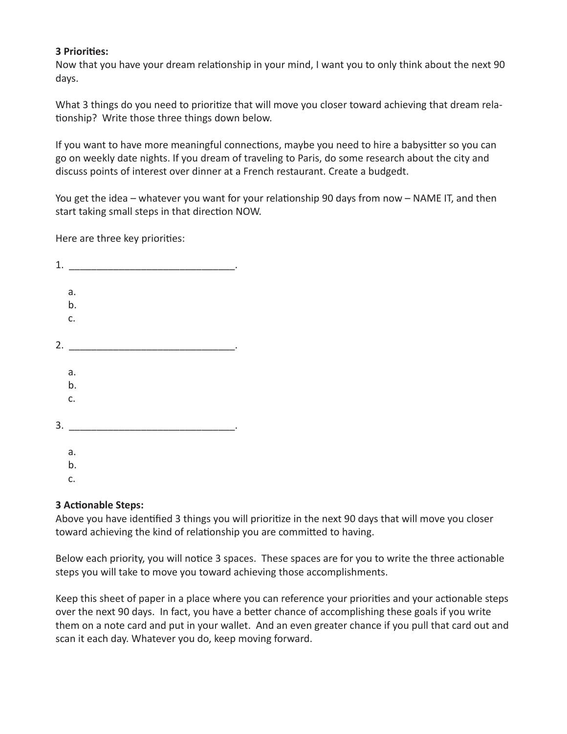#### **3 Priorities:**

Now that you have your dream relationship in your mind, I want you to only think about the next 90 days.

What 3 things do you need to prioritize that will move you closer toward achieving that dream relationship? Write those three things down below.

If you want to have more meaningful connections, maybe you need to hire a babysitter so you can go on weekly date nights. If you dream of traveling to Paris, do some research about the city and discuss points of interest over dinner at a French restaurant. Create a budgedt.

You get the idea – whatever you want for your relationship 90 days from now – NAME IT, and then start taking small steps in that direction NOW.

Here are three key priorities:

| 1. |                |  |  |  |
|----|----------------|--|--|--|
|    |                |  |  |  |
|    | a.             |  |  |  |
|    | b.             |  |  |  |
|    | c.             |  |  |  |
|    |                |  |  |  |
| 2. | $\sim 10^{-1}$ |  |  |  |
|    |                |  |  |  |
|    | a.             |  |  |  |
|    | b.             |  |  |  |
|    | c.             |  |  |  |
|    |                |  |  |  |
| 3. |                |  |  |  |
|    |                |  |  |  |
|    | a.             |  |  |  |
|    | b.             |  |  |  |
|    | c.             |  |  |  |
|    |                |  |  |  |

#### **3 Actionable Steps:**

Above you have identified 3 things you will prioritize in the next 90 days that will move you closer toward achieving the kind of relationship you are committed to having.

Below each priority, you will notice 3 spaces. These spaces are for you to write the three actionable steps you will take to move you toward achieving those accomplishments.

Keep this sheet of paper in a place where you can reference your priorities and your actionable steps over the next 90 days. In fact, you have a better chance of accomplishing these goals if you write them on a note card and put in your wallet. And an even greater chance if you pull that card out and scan it each day. Whatever you do, keep moving forward.